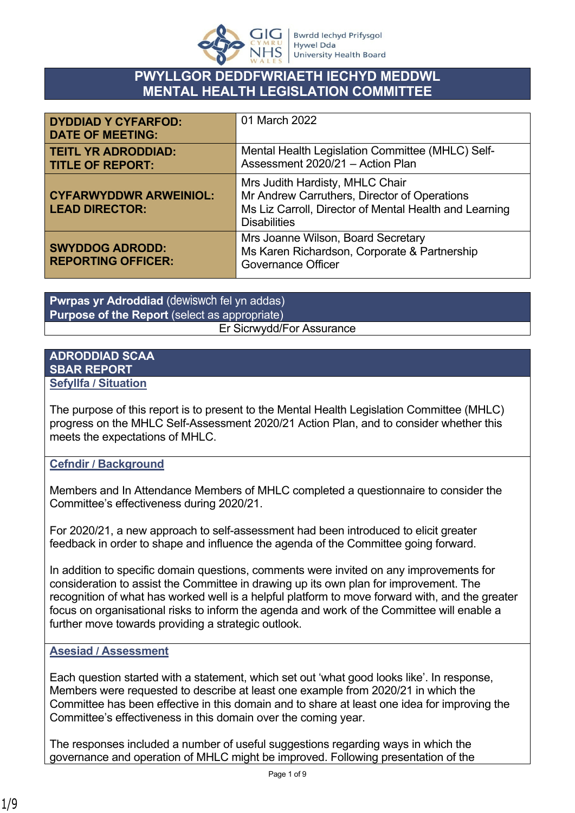

### **PWYLLGOR DEDDFWRIAETH IECHYD MEDDWL MENTAL HEALTH LEGISLATION COMMITTEE**

| <b>DYDDIAD Y CYFARFOD:</b><br><b>DATE OF MEETING:</b>  | 01 March 2022                                                                                                                                                    |
|--------------------------------------------------------|------------------------------------------------------------------------------------------------------------------------------------------------------------------|
| <b>TEITL YR ADRODDIAD:</b><br><b>TITLE OF REPORT:</b>  | Mental Health Legislation Committee (MHLC) Self-<br>Assessment 2020/21 - Action Plan                                                                             |
| <b>CYFARWYDDWR ARWEINIOL:</b><br><b>LEAD DIRECTOR:</b> | Mrs Judith Hardisty, MHLC Chair<br>Mr Andrew Carruthers, Director of Operations<br>Ms Liz Carroll, Director of Mental Health and Learning<br><b>Disabilities</b> |
| <b>SWYDDOG ADRODD:</b><br><b>REPORTING OFFICER:</b>    | Mrs Joanne Wilson, Board Secretary<br>Ms Karen Richardson, Corporate & Partnership<br><b>Governance Officer</b>                                                  |

**Pwrpas yr Adroddiad** (dewiswch fel yn addas) **Purpose of the Report** (select as appropriate) Er Sicrwydd/For Assurance

#### **ADRODDIAD SCAA SBAR REPORT Sefyllfa / Situation**

The purpose of this report is to present to the Mental Health Legislation Committee (MHLC) progress on the MHLC Self-Assessment 2020/21 Action Plan, and to consider whether this meets the expectations of MHLC.

### **Cefndir / Background**

Members and In Attendance Members of MHLC completed a questionnaire to consider the Committee's effectiveness during 2020/21.

For 2020/21, a new approach to self-assessment had been introduced to elicit greater feedback in order to shape and influence the agenda of the Committee going forward.

In addition to specific domain questions, comments were invited on any improvements for consideration to assist the Committee in drawing up its own plan for improvement. The recognition of what has worked well is a helpful platform to move forward with, and the greater focus on organisational risks to inform the agenda and work of the Committee will enable a further move towards providing a strategic outlook.

### **Asesiad / Assessment**

Each question started with a statement, which set out 'what good looks like'. In response, Members were requested to describe at least one example from 2020/21 in which the Committee has been effective in this domain and to share at least one idea for improving the Committee's effectiveness in this domain over the coming year.

The responses included a number of useful suggestions regarding ways in which the governance and operation of MHLC might be improved. Following presentation of the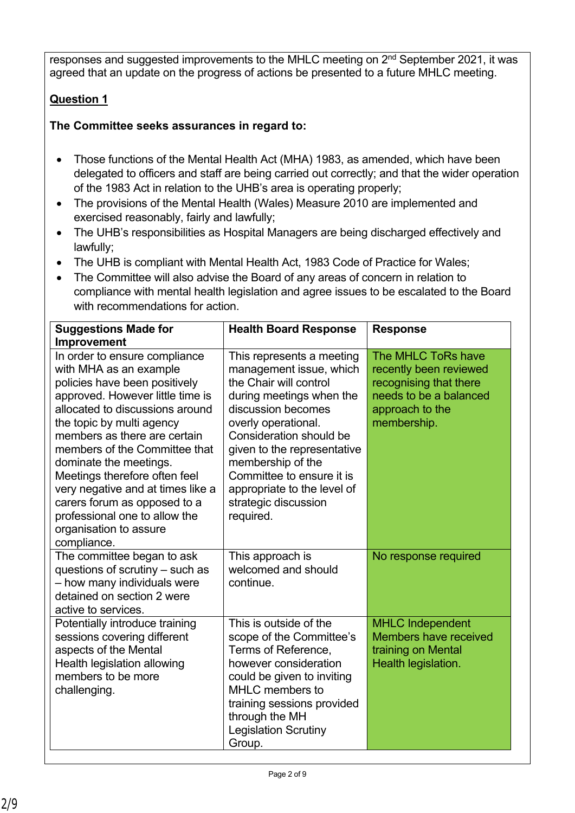responses and suggested improvements to the MHLC meeting on 2<sup>nd</sup> September 2021, it was agreed that an update on the progress of actions be presented to a future MHLC meeting.

## **Question 1**

### **The Committee seeks assurances in regard to:**

- Those functions of the Mental Health Act (MHA) 1983, as amended, which have been delegated to officers and staff are being carried out correctly; and that the wider operation of the 1983 Act in relation to the UHB's area is operating properly;
- The provisions of the Mental Health (Wales) Measure 2010 are implemented and exercised reasonably, fairly and lawfully;
- The UHB's responsibilities as Hospital Managers are being discharged effectively and lawfully;
- The UHB is compliant with Mental Health Act, 1983 Code of Practice for Wales;
- The Committee will also advise the Board of any areas of concern in relation to compliance with mental health legislation and agree issues to be escalated to the Board with recommendations for action.

| <b>Suggestions Made for</b><br><b>Improvement</b>                                                                                                                                                                                                                                                                                                                                                                                                                       | <b>Health Board Response</b>                                                                                                                                                                                                                                                                                                            | <b>Response</b>                                                                                                                    |
|-------------------------------------------------------------------------------------------------------------------------------------------------------------------------------------------------------------------------------------------------------------------------------------------------------------------------------------------------------------------------------------------------------------------------------------------------------------------------|-----------------------------------------------------------------------------------------------------------------------------------------------------------------------------------------------------------------------------------------------------------------------------------------------------------------------------------------|------------------------------------------------------------------------------------------------------------------------------------|
| In order to ensure compliance<br>with MHA as an example<br>policies have been positively<br>approved. However little time is<br>allocated to discussions around<br>the topic by multi agency<br>members as there are certain<br>members of the Committee that<br>dominate the meetings.<br>Meetings therefore often feel<br>very negative and at times like a<br>carers forum as opposed to a<br>professional one to allow the<br>organisation to assure<br>compliance. | This represents a meeting<br>management issue, which<br>the Chair will control<br>during meetings when the<br>discussion becomes<br>overly operational.<br>Consideration should be<br>given to the representative<br>membership of the<br>Committee to ensure it is<br>appropriate to the level of<br>strategic discussion<br>required. | The MHLC ToRs have<br>recently been reviewed<br>recognising that there<br>needs to be a balanced<br>approach to the<br>membership. |
| The committee began to ask<br>questions of scrutiny – such as<br>- how many individuals were<br>detained on section 2 were<br>active to services.                                                                                                                                                                                                                                                                                                                       | This approach is<br>welcomed and should<br>continue.                                                                                                                                                                                                                                                                                    | No response required                                                                                                               |
| Potentially introduce training<br>sessions covering different<br>aspects of the Mental<br>Health legislation allowing<br>members to be more<br>challenging.                                                                                                                                                                                                                                                                                                             | This is outside of the<br>scope of the Committee's<br>Terms of Reference,<br>however consideration<br>could be given to inviting<br>MHLC members to<br>training sessions provided<br>through the MH<br><b>Legislation Scrutiny</b><br>Group.                                                                                            | <b>MHLC Independent</b><br><b>Members have received</b><br>training on Mental<br>Health legislation.                               |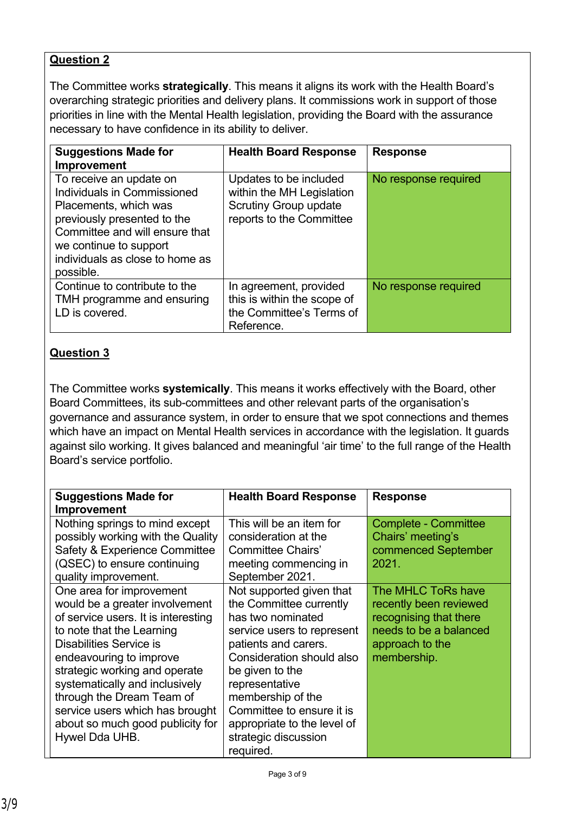The Committee works **strategically**. This means it aligns its work with the Health Board's overarching strategic priorities and delivery plans. It commissions work in support of those priorities in line with the Mental Health legislation, providing the Board with the assurance necessary to have confidence in its ability to deliver.

| <b>Suggestions Made for</b><br>Improvement                                                                                                                                                                                 | <b>Health Board Response</b>                                                                                    | <b>Response</b>      |
|----------------------------------------------------------------------------------------------------------------------------------------------------------------------------------------------------------------------------|-----------------------------------------------------------------------------------------------------------------|----------------------|
| To receive an update on<br>Individuals in Commissioned<br>Placements, which was<br>previously presented to the<br>Committee and will ensure that<br>we continue to support<br>individuals as close to home as<br>possible. | Updates to be included<br>within the MH Legislation<br><b>Scrutiny Group update</b><br>reports to the Committee | No response required |
| Continue to contribute to the<br>TMH programme and ensuring<br>LD is covered.                                                                                                                                              | In agreement, provided<br>this is within the scope of<br>the Committee's Terms of<br>Reference.                 | No response required |

### **Question 3**

The Committee works **systemically**. This means it works effectively with the Board, other Board Committees, its sub-committees and other relevant parts of the organisation's governance and assurance system, in order to ensure that we spot connections and themes which have an impact on Mental Health services in accordance with the legislation. It guards against silo working. It gives balanced and meaningful 'air time' to the full range of the Health Board's service portfolio.

| <b>Suggestions Made for</b><br>Improvement                                                                                                                                                                                                                                                                                                                                                                                                                                                                                                   | <b>Health Board Response</b>                                                                                                                                                                                                                                                                                                                                                                                                   | <b>Response</b>                                                                                                                                                                                                        |
|----------------------------------------------------------------------------------------------------------------------------------------------------------------------------------------------------------------------------------------------------------------------------------------------------------------------------------------------------------------------------------------------------------------------------------------------------------------------------------------------------------------------------------------------|--------------------------------------------------------------------------------------------------------------------------------------------------------------------------------------------------------------------------------------------------------------------------------------------------------------------------------------------------------------------------------------------------------------------------------|------------------------------------------------------------------------------------------------------------------------------------------------------------------------------------------------------------------------|
| Nothing springs to mind except<br>possibly working with the Quality<br>Safety & Experience Committee<br>(QSEC) to ensure continuing<br>quality improvement.<br>One area for improvement<br>would be a greater involvement<br>of service users. It is interesting<br>to note that the Learning<br>Disabilities Service is<br>endeavouring to improve<br>strategic working and operate<br>systematically and inclusively<br>through the Dream Team of<br>service users which has brought<br>about so much good publicity for<br>Hywel Dda UHB. | This will be an item for<br>consideration at the<br>Committee Chairs'<br>meeting commencing in<br>September 2021.<br>Not supported given that<br>the Committee currently<br>has two nominated<br>service users to represent<br>patients and carers.<br>Consideration should also<br>be given to the<br>representative<br>membership of the<br>Committee to ensure it is<br>appropriate to the level of<br>strategic discussion | <b>Complete - Committee</b><br>Chairs' meeting's<br>commenced September<br>2021.<br>The MHLC ToRs have<br>recently been reviewed<br>recognising that there<br>needs to be a balanced<br>approach to the<br>membership. |
|                                                                                                                                                                                                                                                                                                                                                                                                                                                                                                                                              | required.                                                                                                                                                                                                                                                                                                                                                                                                                      |                                                                                                                                                                                                                        |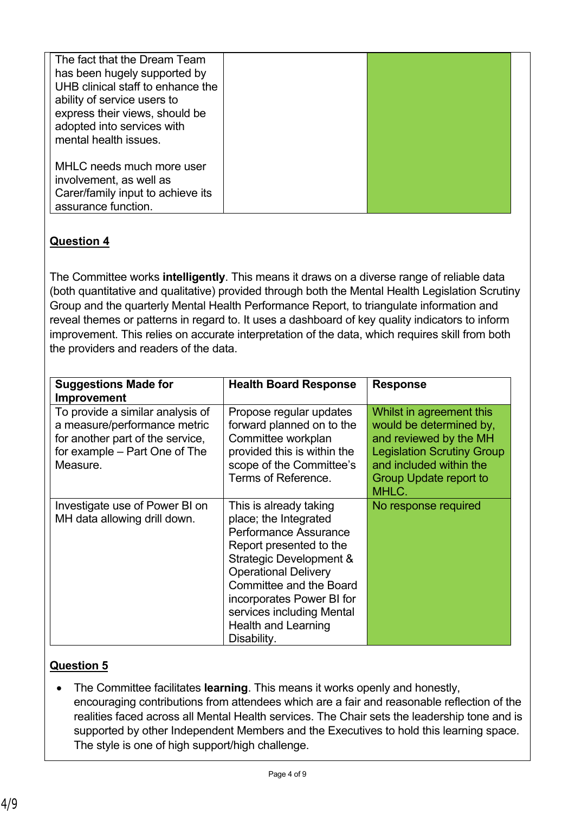| The fact that the Dream Team<br>has been hugely supported by<br>UHB clinical staff to enhance the<br>ability of service users to<br>express their views, should be<br>adopted into services with<br>mental health issues. |  |  |
|---------------------------------------------------------------------------------------------------------------------------------------------------------------------------------------------------------------------------|--|--|
| MHLC needs much more user<br>involvement, as well as<br>Carer/family input to achieve its<br>assurance function.                                                                                                          |  |  |

The Committee works **intelligently**. This means it draws on a diverse range of reliable data (both quantitative and qualitative) provided through both the Mental Health Legislation Scrutiny Group and the quarterly Mental Health Performance Report, to triangulate information and reveal themes or patterns in regard to. It uses a dashboard of key quality indicators to inform improvement. This relies on accurate interpretation of the data, which requires skill from both the providers and readers of the data.

| <b>Suggestions Made for</b><br><b>Improvement</b>                                                                                                 | <b>Health Board Response</b>                                                                                                                                                                                                                                                                           | <b>Response</b>                                                                                                                                                                  |
|---------------------------------------------------------------------------------------------------------------------------------------------------|--------------------------------------------------------------------------------------------------------------------------------------------------------------------------------------------------------------------------------------------------------------------------------------------------------|----------------------------------------------------------------------------------------------------------------------------------------------------------------------------------|
| To provide a similar analysis of<br>a measure/performance metric<br>for another part of the service,<br>for example – Part One of The<br>Measure. | Propose regular updates<br>forward planned on to the<br>Committee workplan<br>provided this is within the<br>scope of the Committee's<br>Terms of Reference.                                                                                                                                           | Whilst in agreement this<br>would be determined by,<br>and reviewed by the MH<br><b>Legislation Scrutiny Group</b><br>and included within the<br>Group Update report to<br>MHLC. |
| Investigate use of Power BI on<br>MH data allowing drill down.                                                                                    | This is already taking<br>place; the Integrated<br><b>Performance Assurance</b><br>Report presented to the<br>Strategic Development &<br><b>Operational Delivery</b><br>Committee and the Board<br>incorporates Power BI for<br>services including Mental<br><b>Health and Learning</b><br>Disability. | No response required                                                                                                                                                             |

## **Question 5**

 The Committee facilitates **learning**. This means it works openly and honestly, encouraging contributions from attendees which are a fair and reasonable reflection of the realities faced across all Mental Health services. The Chair sets the leadership tone and is supported by other Independent Members and the Executives to hold this learning space. The style is one of high support/high challenge.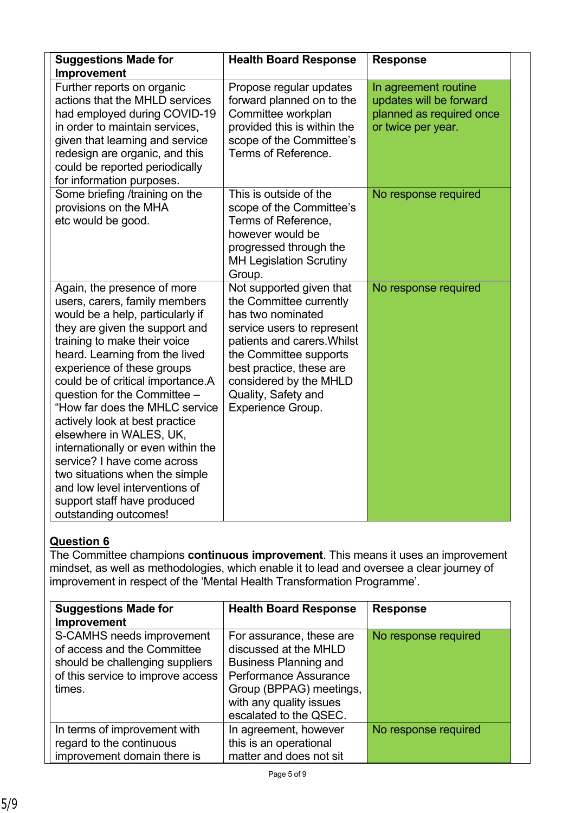| <b>Suggestions Made for</b><br>Improvement                                                                                                                                                                                                                                                                                                                                                                                                                                                                                                                                                              | <b>Health Board Response</b>                                                                                                                                                                                                                                             | <b>Response</b>                                                                                   |
|---------------------------------------------------------------------------------------------------------------------------------------------------------------------------------------------------------------------------------------------------------------------------------------------------------------------------------------------------------------------------------------------------------------------------------------------------------------------------------------------------------------------------------------------------------------------------------------------------------|--------------------------------------------------------------------------------------------------------------------------------------------------------------------------------------------------------------------------------------------------------------------------|---------------------------------------------------------------------------------------------------|
| Further reports on organic<br>actions that the MHLD services<br>had employed during COVID-19<br>in order to maintain services,<br>given that learning and service<br>redesign are organic, and this<br>could be reported periodically<br>for information purposes.                                                                                                                                                                                                                                                                                                                                      | Propose regular updates<br>forward planned on to the<br>Committee workplan<br>provided this is within the<br>scope of the Committee's<br>Terms of Reference.                                                                                                             | In agreement routine<br>updates will be forward<br>planned as required once<br>or twice per year. |
| Some briefing /training on the<br>provisions on the MHA<br>etc would be good.                                                                                                                                                                                                                                                                                                                                                                                                                                                                                                                           | This is outside of the<br>scope of the Committee's<br>Terms of Reference,<br>however would be<br>progressed through the<br><b>MH Legislation Scrutiny</b><br>Group.                                                                                                      | No response required                                                                              |
| Again, the presence of more<br>users, carers, family members<br>would be a help, particularly if<br>they are given the support and<br>training to make their voice<br>heard. Learning from the lived<br>experience of these groups<br>could be of critical importance.A<br>question for the Committee -<br>"How far does the MHLC service<br>actively look at best practice<br>elsewhere in WALES, UK,<br>internationally or even within the<br>service? I have come across<br>two situations when the simple<br>and low level interventions of<br>support staff have produced<br>outstanding outcomes! | Not supported given that<br>the Committee currently<br>has two nominated<br>service users to represent<br>patients and carers. Whilst<br>the Committee supports<br>best practice, these are<br>considered by the MHLD<br>Quality, Safety and<br><b>Experience Group.</b> | No response required                                                                              |

The Committee champions **continuous improvement**. This means it uses an improvement mindset, as well as methodologies, which enable it to lead and oversee a clear journey of improvement in respect of the 'Mental Health Transformation Programme'.

| <b>Suggestions Made for</b><br>Improvement                                                                                                 | <b>Health Board Response</b>                                                                                                                                                               | <b>Response</b>      |
|--------------------------------------------------------------------------------------------------------------------------------------------|--------------------------------------------------------------------------------------------------------------------------------------------------------------------------------------------|----------------------|
| S-CAMHS needs improvement<br>of access and the Committee<br>should be challenging suppliers<br>of this service to improve access<br>times. | For assurance, these are<br>discussed at the MHLD<br><b>Business Planning and</b><br>Performance Assurance<br>Group (BPPAG) meetings,<br>with any quality issues<br>escalated to the QSEC. | No response required |
| In terms of improvement with<br>regard to the continuous                                                                                   | In agreement, however<br>this is an operational                                                                                                                                            | No response required |
| improvement domain there is                                                                                                                | matter and does not sit                                                                                                                                                                    |                      |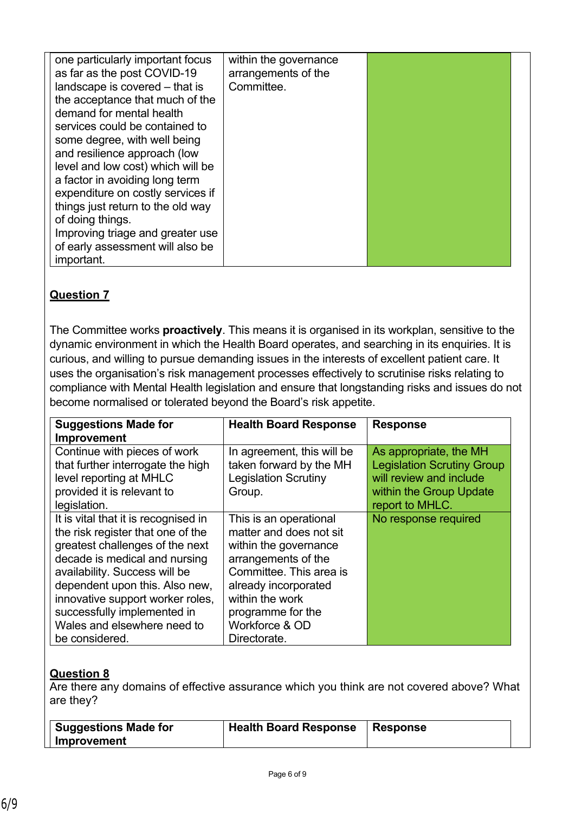| one particularly important focus<br>as far as the post COVID-19<br>landscape is covered - that is<br>the acceptance that much of the<br>demand for mental health<br>services could be contained to<br>some degree, with well being<br>and resilience approach (low<br>level and low cost) which will be<br>a factor in avoiding long term<br>expenditure on costly services if<br>things just return to the old way<br>of doing things.<br>Improving triage and greater use | within the governance<br>arrangements of the<br>Committee. |  |
|-----------------------------------------------------------------------------------------------------------------------------------------------------------------------------------------------------------------------------------------------------------------------------------------------------------------------------------------------------------------------------------------------------------------------------------------------------------------------------|------------------------------------------------------------|--|
| of early assessment will also be                                                                                                                                                                                                                                                                                                                                                                                                                                            |                                                            |  |
| important.                                                                                                                                                                                                                                                                                                                                                                                                                                                                  |                                                            |  |

The Committee works **proactively**. This means it is organised in its workplan, sensitive to the dynamic environment in which the Health Board operates, and searching in its enquiries. It is curious, and willing to pursue demanding issues in the interests of excellent patient care. It uses the organisation's risk management processes effectively to scrutinise risks relating to compliance with Mental Health legislation and ensure that longstanding risks and issues do not become normalised or tolerated beyond the Board's risk appetite.

| <b>Suggestions Made for</b><br><b>Improvement</b>                                                                                                                                                                                                                                                                                    | <b>Health Board Response</b>                                                                                                                                                                                                   | <b>Response</b>                                                                                                                      |
|--------------------------------------------------------------------------------------------------------------------------------------------------------------------------------------------------------------------------------------------------------------------------------------------------------------------------------------|--------------------------------------------------------------------------------------------------------------------------------------------------------------------------------------------------------------------------------|--------------------------------------------------------------------------------------------------------------------------------------|
| Continue with pieces of work<br>that further interrogate the high<br>level reporting at MHLC<br>provided it is relevant to<br>legislation.                                                                                                                                                                                           | In agreement, this will be<br>taken forward by the MH<br><b>Legislation Scrutiny</b><br>Group.                                                                                                                                 | As appropriate, the MH<br><b>Legislation Scrutiny Group</b><br>will review and include<br>within the Group Update<br>report to MHLC. |
| It is vital that it is recognised in<br>the risk register that one of the<br>greatest challenges of the next<br>decade is medical and nursing<br>availability. Success will be<br>dependent upon this. Also new,<br>innovative support worker roles,<br>successfully implemented in<br>Wales and elsewhere need to<br>be considered. | This is an operational<br>matter and does not sit<br>within the governance<br>arrangements of the<br>Committee. This area is<br>already incorporated<br>within the work<br>programme for the<br>Workforce & OD<br>Directorate. | No response required                                                                                                                 |

### **Question 8**

Are there any domains of effective assurance which you think are not covered above? What are they?

| Suggestions Made for | <b>Health Board Response</b> | <b>Response</b> |
|----------------------|------------------------------|-----------------|
| Improvement          |                              |                 |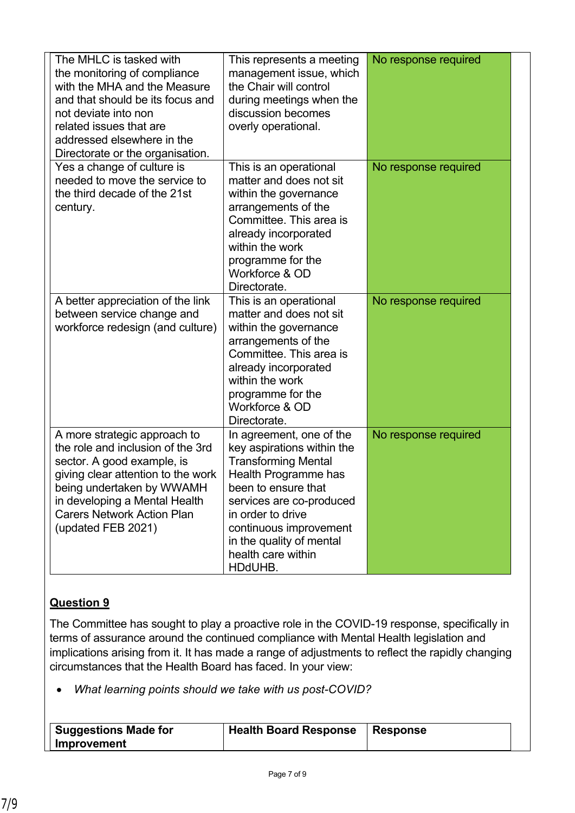| The MHLC is tasked with<br>the monitoring of compliance<br>with the MHA and the Measure<br>and that should be its focus and<br>not deviate into non<br>related issues that are<br>addressed elsewhere in the<br>Directorate or the organisation.               | This represents a meeting<br>management issue, which<br>the Chair will control<br>during meetings when the<br>discussion becomes<br>overly operational.                                                                                                                     | No response required |
|----------------------------------------------------------------------------------------------------------------------------------------------------------------------------------------------------------------------------------------------------------------|-----------------------------------------------------------------------------------------------------------------------------------------------------------------------------------------------------------------------------------------------------------------------------|----------------------|
| Yes a change of culture is<br>needed to move the service to<br>the third decade of the 21st<br>century.                                                                                                                                                        | This is an operational<br>matter and does not sit<br>within the governance<br>arrangements of the<br>Committee. This area is<br>already incorporated<br>within the work<br>programme for the<br>Workforce & OD<br>Directorate.                                              | No response required |
| A better appreciation of the link<br>between service change and<br>workforce redesign (and culture)                                                                                                                                                            | This is an operational<br>matter and does not sit<br>within the governance<br>arrangements of the<br>Committee. This area is<br>already incorporated<br>within the work<br>programme for the<br>Workforce & OD<br>Directorate.                                              | No response required |
| A more strategic approach to<br>the role and inclusion of the 3rd<br>sector. A good example, is<br>giving clear attention to the work<br>being undertaken by WWAMH<br>in developing a Mental Health<br><b>Carers Network Action Plan</b><br>(updated FEB 2021) | In agreement, one of the<br>key aspirations within the<br><b>Transforming Mental</b><br>Health Programme has<br>been to ensure that<br>services are co-produced<br>in order to drive<br>continuous improvement<br>in the quality of mental<br>health care within<br>HDdUHB. | No response required |

The Committee has sought to play a proactive role in the COVID-19 response, specifically in terms of assurance around the continued compliance with Mental Health legislation and implications arising from it. It has made a range of adjustments to reflect the rapidly changing circumstances that the Health Board has faced. In your view:

*What learning points should we take with us post-COVID?*

| Suggestions Made for | <b>Health Board Response</b> | <b>Response</b> |
|----------------------|------------------------------|-----------------|
| Improvement          |                              |                 |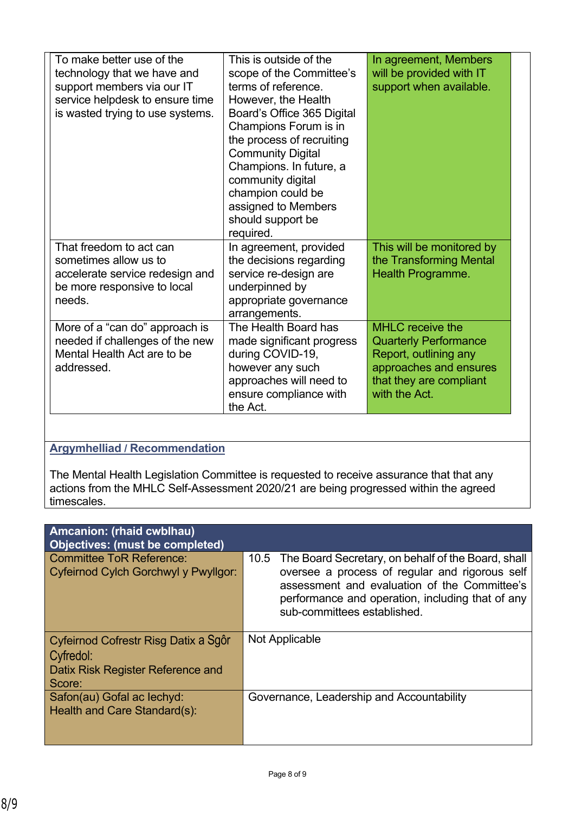| To make better use of the<br>technology that we have and<br>support members via our IT<br>service helpdesk to ensure time<br>is wasted trying to use systems. | This is outside of the<br>scope of the Committee's<br>terms of reference.<br>However, the Health<br>Board's Office 365 Digital<br>Champions Forum is in<br>the process of recruiting<br><b>Community Digital</b><br>Champions. In future, a<br>community digital<br>champion could be<br>assigned to Members<br>should support be<br>required. | In agreement, Members<br>will be provided with IT<br>support when available.                                                                           |
|---------------------------------------------------------------------------------------------------------------------------------------------------------------|------------------------------------------------------------------------------------------------------------------------------------------------------------------------------------------------------------------------------------------------------------------------------------------------------------------------------------------------|--------------------------------------------------------------------------------------------------------------------------------------------------------|
| That freedom to act can<br>sometimes allow us to<br>accelerate service redesign and<br>be more responsive to local<br>needs.                                  | In agreement, provided<br>the decisions regarding<br>service re-design are<br>underpinned by<br>appropriate governance<br>arrangements.                                                                                                                                                                                                        | This will be monitored by<br>the Transforming Mental<br><b>Health Programme.</b>                                                                       |
| More of a "can do" approach is<br>needed if challenges of the new<br>Mental Health Act are to be<br>addressed.                                                | The Health Board has<br>made significant progress<br>during COVID-19,<br>however any such<br>approaches will need to<br>ensure compliance with<br>the Act.                                                                                                                                                                                     | <b>MHLC</b> receive the<br><b>Quarterly Performance</b><br>Report, outlining any<br>approaches and ensures<br>that they are compliant<br>with the Act. |

### **Argymhelliad / Recommendation**

The Mental Health Legislation Committee is requested to receive assurance that that any actions from the MHLC Self-Assessment 2020/21 are being progressed within the agreed timescales.

| Amcanion: (rhaid cwblhau)<br><b>Objectives: (must be completed)</b>                              |                                                                                                                                                                                                                                              |
|--------------------------------------------------------------------------------------------------|----------------------------------------------------------------------------------------------------------------------------------------------------------------------------------------------------------------------------------------------|
| <b>Committee ToR Reference:</b><br>Cyfeirnod Cylch Gorchwyl y Pwyllgor:                          | 10.5 The Board Secretary, on behalf of the Board, shall<br>oversee a process of regular and rigorous self<br>assessment and evaluation of the Committee's<br>performance and operation, including that of any<br>sub-committees established. |
| Cyfeirnod Cofrestr Risg Datix a Sgôr<br>Cyfredol:<br>Datix Risk Register Reference and<br>Score: | Not Applicable                                                                                                                                                                                                                               |
| Safon(au) Gofal ac lechyd:<br>Health and Care Standard(s):                                       | Governance, Leadership and Accountability                                                                                                                                                                                                    |